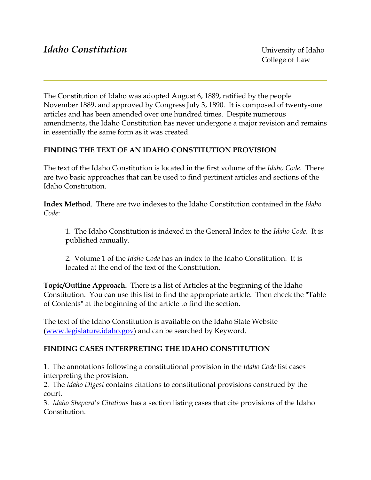The Constitution of Idaho was adopted August 6, 1889, ratified by the people November 1889, and approved by Congress July 3, 1890. It is composed of twenty-one articles and has been amended over one hundred times. Despite numerous amendments, the Idaho Constitution has never undergone a major revision and remains in essentially the same form as it was created.

# **FINDING THE TEXT OF AN IDAHO CONSTITUTION PROVISION**

The text of the Idaho Constitution is located in the first volume of the *Idaho Code*. There are two basic approaches that can be used to find pertinent articles and sections of the Idaho Constitution.

**Index Method**. There are two indexes to the Idaho Constitution contained in the *Idaho Code*:

1. The Idaho Constitution is indexed in the General Index to the *Idaho Code*. It is published annually.

2. Volume 1 of the *Idaho Code* has an index to the Idaho Constitution. It is located at the end of the text of the Constitution.

**Topic/Outline Approach.** There is a list of Articles at the beginning of the Idaho Constitution. You can use this list to find the appropriate article. Then check the "Table of Contents" at the beginning of the article to find the section.

The text of the Idaho Constitution is available on the Idaho State Website ([www.legislature.idaho.gov\)](http://www.legislature.idaho.gov/) and can be searched by Keyword.

# **FINDING CASES INTERPRETING THE IDAHO CONSTITUTION**

1. The annotations following a constitutional provision in the *Idaho Code* list cases interpreting the provision.

2. The *Idaho Digest* contains citations to constitutional provisions construed by the court.

3. *Idaho Shepard's Citations* has a section listing cases that cite provisions of the Idaho **Constitution**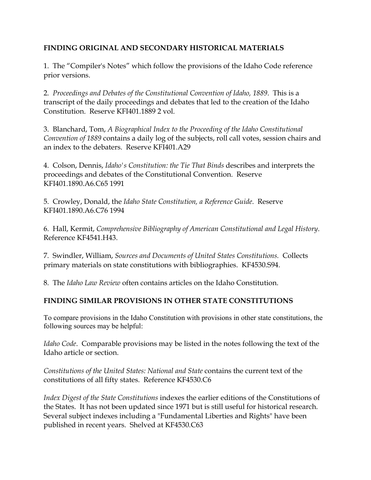# **FINDING ORIGINAL AND SECONDARY HISTORICAL MATERIALS**

1. The "Compiler's Notes" which follow the provisions of the Idaho Code reference prior versions.

2. *Proceedings and Debates of the Constitutional Convention of Idaho, 1889*. This is a transcript of the daily proceedings and debates that led to the creation of the Idaho Constitution. Reserve KFI401.1889 2 vol.

3. Blanchard, Tom, *A Biographical Index to the Proceeding of the Idaho Constitutional Convention of 1889* contains a daily log of the subjects, roll call votes, session chairs and an index to the debaters. Reserve KFI401.A29

4. Colson, Dennis, *Idaho's Constitution: the Tie That Binds* describes and interprets the proceedings and debates of the Constitutional Convention. Reserve KFI401.1890.A6.C65 1991

5. Crowley, Donald, the *Idaho State Constitution, a Reference Guide*. Reserve KFI401.1890.A6.C76 1994

6. Hall, Kermit, *Comprehensive Bibliography of American Constitutional and Legal History*. Reference KF4541.H43.

7. Swindler, William, *Sources and Documents of United States Constitutions.* Collects primary materials on state constitutions with bibliographies. KF4530.S94.

8. The *Idaho Law Review* often contains articles on the Idaho Constitution.

# **FINDING SIMILAR PROVISIONS IN OTHER STATE CONSTITUTIONS**

To compare provisions in the Idaho Constitution with provisions in other state constitutions, the following sources may be helpful:

*Idaho Code*. Comparable provisions may be listed in the notes following the text of the Idaho article or section.

*Constitutions of the United States: National and State* contains the current text of the constitutions of all fifty states. Reference KF4530.C6

*Index Digest of the State Constitutions* indexes the earlier editions of the Constitutions of the States. It has not been updated since 1971 but is still useful for historical research. Several subject indexes including a "Fundamental Liberties and Rights" have been published in recent years. Shelved at KF4530.C63